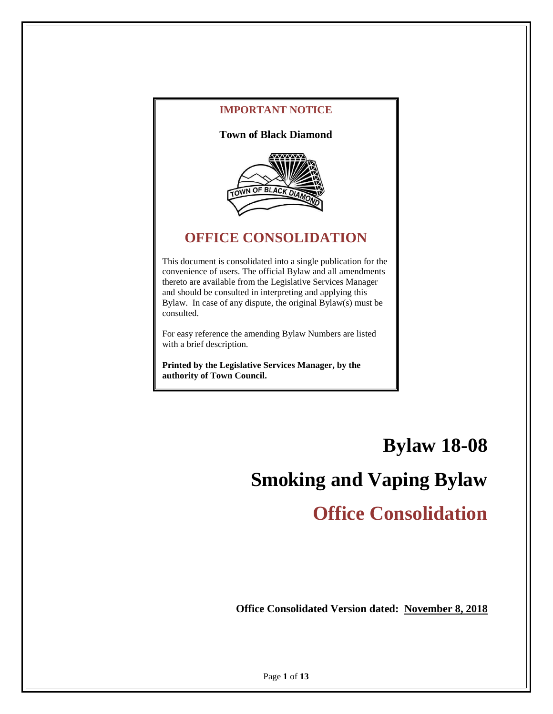

**Printed by the Legislative Services Manager, by the authority of Town Council.**

# **Bylaw 18-08**

# **Smoking and Vaping Bylaw**

**Office Consolidation**

**Office Consolidated Version dated: November 8, 2018**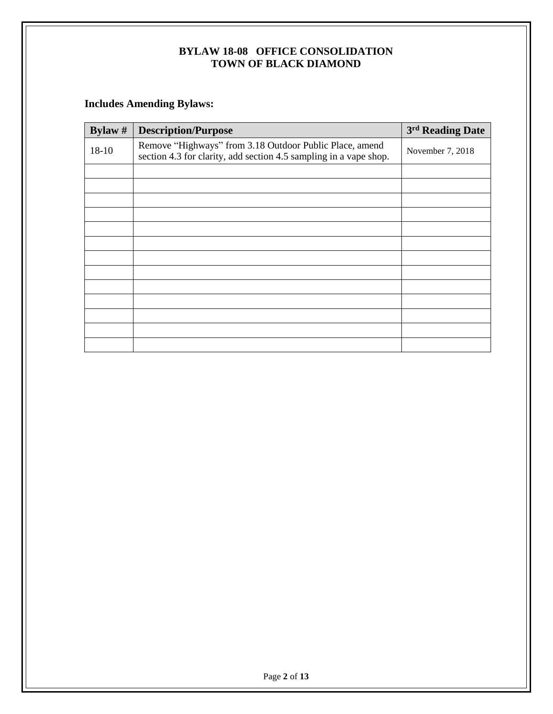# **Includes Amending Bylaws:**

| Bylaw $#$ | <b>Description/Purpose</b>                                                                                                   | 3rd Reading Date |
|-----------|------------------------------------------------------------------------------------------------------------------------------|------------------|
| $18-10$   | Remove "Highways" from 3.18 Outdoor Public Place, amend<br>section 4.3 for clarity, add section 4.5 sampling in a vape shop. | November 7, 2018 |
|           |                                                                                                                              |                  |
|           |                                                                                                                              |                  |
|           |                                                                                                                              |                  |
|           |                                                                                                                              |                  |
|           |                                                                                                                              |                  |
|           |                                                                                                                              |                  |
|           |                                                                                                                              |                  |
|           |                                                                                                                              |                  |
|           |                                                                                                                              |                  |
|           |                                                                                                                              |                  |
|           |                                                                                                                              |                  |
|           |                                                                                                                              |                  |
|           |                                                                                                                              |                  |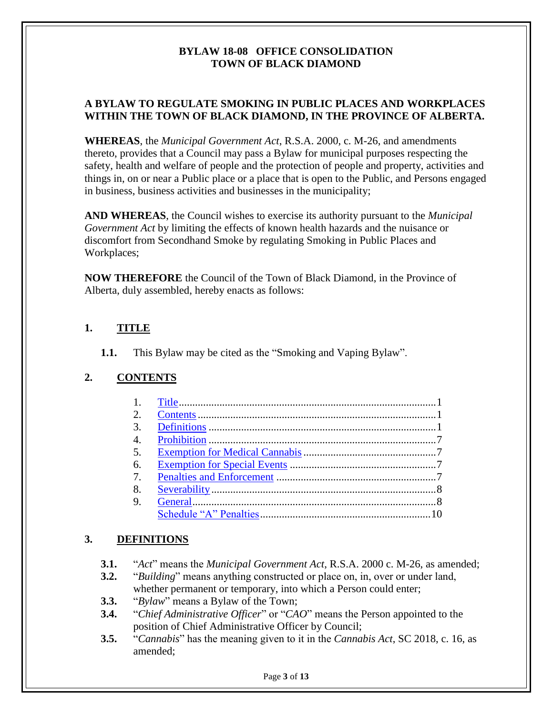# **A BYLAW TO REGULATE SMOKING IN PUBLIC PLACES AND WORKPLACES WITHIN THE TOWN OF BLACK DIAMOND, IN THE PROVINCE OF ALBERTA.**

**WHEREAS**, the *Municipal Government Act*, R.S.A. 2000, c. M-26, and amendments thereto, provides that a Council may pass a Bylaw for municipal purposes respecting the safety, health and welfare of people and the protection of people and property, activities and things in, on or near a Public place or a place that is open to the Public, and Persons engaged in business, business activities and businesses in the municipality;

**AND WHEREAS**, the Council wishes to exercise its authority pursuant to the *Municipal Government Act* by limiting the effects of known health hazards and the nuisance or discomfort from Secondhand Smoke by regulating Smoking in Public Places and Workplaces;

**NOW THEREFORE** the Council of the Town of Black Diamond, in the Province of Alberta, duly assembled, hereby enacts as follows:

# <span id="page-2-0"></span>**1. TITLE**

**1.1.** This Bylaw may be cited as the "Smoking and Vaping Bylaw".

# <span id="page-2-1"></span>**2. CONTENTS**

| $\overline{1}$ . |  |
|------------------|--|
| 2.               |  |
| 3.               |  |
| 4.               |  |
| -5.              |  |
| 6.               |  |
| 7.               |  |
| 8.               |  |
| 9.               |  |
|                  |  |

# <span id="page-2-2"></span>**3. DEFINITIONS**

- **3.1.** "*Act*" means the *Municipal Government Act*, R.S.A. 2000 c. M-26, as amended;
- **3.2.** "*Building*" means anything constructed or place on, in, over or under land, whether permanent or temporary, into which a Person could enter;
- **3.3.** "*Bylaw*" means a Bylaw of the Town;
- **3.4.** "*Chief Administrative Officer*" or "*CAO*" means the Person appointed to the position of Chief Administrative Officer by Council;
- **3.5.** "*Cannabis*" has the meaning given to it in the *Cannabis Act*, SC 2018, c. 16, as amended;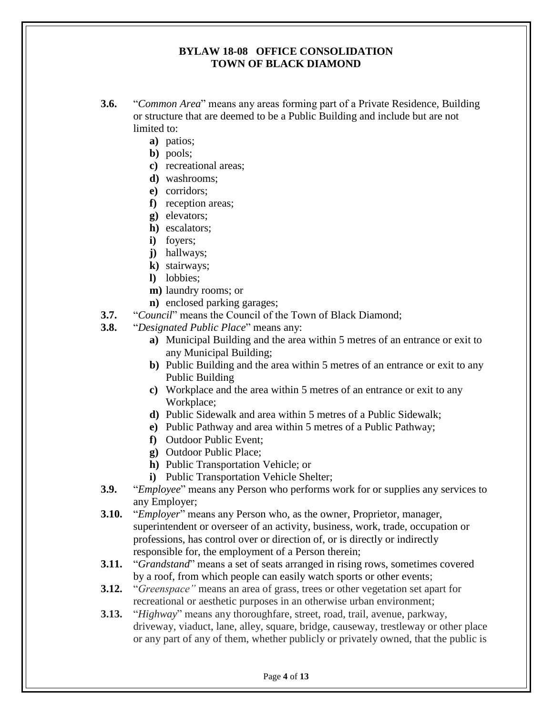- **3.6.** "*Common Area*" means any areas forming part of a Private Residence, Building or structure that are deemed to be a Public Building and include but are not limited to:
	- **a)** patios;
	- **b)** pools;
	- **c)** recreational areas;
	- **d)** washrooms;
	- **e)** corridors;
	- **f)** reception areas;
	- **g)** elevators;
	- **h)** escalators;
	- **i)** foyers;
	- **j)** hallways;
	- **k)** stairways;
	- **l)** lobbies;
	- **m)** laundry rooms; or
	- **n)** enclosed parking garages;
- **3.7.** "*Council*" means the Council of the Town of Black Diamond;
- **3.8.** "*Designated Public Place*" means any:
	- **a)** Municipal Building and the area within 5 metres of an entrance or exit to any Municipal Building;
	- **b)** Public Building and the area within 5 metres of an entrance or exit to any Public Building
	- **c)** Workplace and the area within 5 metres of an entrance or exit to any Workplace;
	- **d)** Public Sidewalk and area within 5 metres of a Public Sidewalk;
	- **e)** Public Pathway and area within 5 metres of a Public Pathway;
	- **f)** Outdoor Public Event;
	- **g)** Outdoor Public Place;
	- **h)** Public Transportation Vehicle; or
	- **i)** Public Transportation Vehicle Shelter;
- **3.9.** "*Employee*" means any Person who performs work for or supplies any services to any Employer;
- **3.10.** "*Employer*" means any Person who, as the owner, Proprietor, manager, superintendent or overseer of an activity, business, work, trade, occupation or professions, has control over or direction of, or is directly or indirectly responsible for, the employment of a Person therein;
- **3.11.** "*Grandstand*" means a set of seats arranged in rising rows, sometimes covered by a roof, from which people can easily watch sports or other events;
- **3.12.** "*Greenspace"* means an area of grass, trees or other vegetation set apart for recreational or aesthetic purposes in an otherwise urban environment;
- **3.13.** "*Highway*" means any thoroughfare, street, road, trail, avenue, parkway, driveway, viaduct, lane, alley, square, bridge, causeway, trestleway or other place or any part of any of them, whether publicly or privately owned, that the public is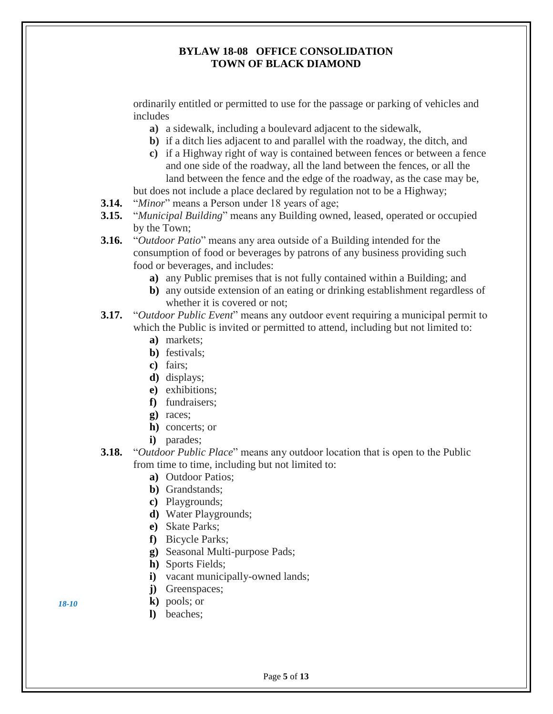ordinarily entitled or permitted to use for the passage or parking of vehicles and includes

- **a)** a sidewalk, including a boulevard adjacent to the sidewalk,
- **b)** if a ditch lies adjacent to and parallel with the roadway, the ditch, and
- **c)** if a Highway right of way is contained between fences or between a fence and one side of the roadway, all the land between the fences, or all the land between the fence and the edge of the roadway, as the case may be,

but does not include a place declared by regulation not to be a Highway;

- **3.14.** "*Minor*" means a Person under 18 years of age;
- **3.15.** "*Municipal Building*" means any Building owned, leased, operated or occupied by the Town;
- **3.16.** "*Outdoor Patio*" means any area outside of a Building intended for the consumption of food or beverages by patrons of any business providing such food or beverages, and includes:
	- **a)** any Public premises that is not fully contained within a Building; and
	- **b)** any outside extension of an eating or drinking establishment regardless of whether it is covered or not:
- **3.17.** "*Outdoor Public Event*" means any outdoor event requiring a municipal permit to which the Public is invited or permitted to attend, including but not limited to:
	- **a)** markets;
	- **b)** festivals;
	- **c)** fairs;
	- **d)** displays;
	- **e)** exhibitions;
	- **f)** fundraisers;
	- **g)** races;
	- **h)** concerts; or
	- **i)** parades;
- **3.18.** "*Outdoor Public Place*" means any outdoor location that is open to the Public from time to time, including but not limited to:
	- **a)** Outdoor Patios;
	- **b)** Grandstands;
	- **c)** Playgrounds;
	- **d)** Water Playgrounds;
	- **e)** Skate Parks;
	- **f)** Bicycle Parks;
	- **g)** Seasonal Multi-purpose Pads;
	- **h)** Sports Fields;
	- **i**) vacant municipally-owned lands;
	- **j)** Greenspaces;
- *18-10*
- **k)** pools; or **l)** beaches;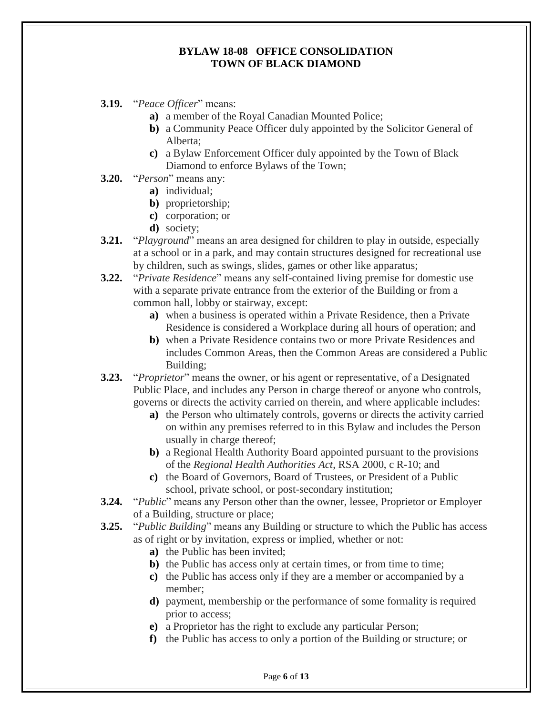- **3.19.** "*Peace Officer*" means:
	- **a)** a member of the Royal Canadian Mounted Police;
	- **b)** a Community Peace Officer duly appointed by the Solicitor General of Alberta;
	- **c)** a Bylaw Enforcement Officer duly appointed by the Town of Black Diamond to enforce Bylaws of the Town;
- **3.20.** "*Person*" means any:
	- **a)** individual;
	- **b)** proprietorship;
	- **c)** corporation; or
	- **d)** society;
- **3.21.** "*Playground*" means an area designed for children to play in outside, especially at a school or in a park, and may contain structures designed for recreational use by children, such as swings, slides, games or other like apparatus;
- **3.22.** "*Private Residence*" means any self-contained living premise for domestic use with a separate private entrance from the exterior of the Building or from a common hall, lobby or stairway, except:
	- **a)** when a business is operated within a Private Residence, then a Private Residence is considered a Workplace during all hours of operation; and
	- **b)** when a Private Residence contains two or more Private Residences and includes Common Areas, then the Common Areas are considered a Public Building;
- **3.23.** "*Proprietor*" means the owner, or his agent or representative, of a Designated Public Place, and includes any Person in charge thereof or anyone who controls, governs or directs the activity carried on therein, and where applicable includes:
	- **a)** the Person who ultimately controls, governs or directs the activity carried on within any premises referred to in this Bylaw and includes the Person usually in charge thereof;
	- **b)** a Regional Health Authority Board appointed pursuant to the provisions of the *Regional Health Authorities Act*, RSA 2000, c R-10; and
	- **c)** the Board of Governors, Board of Trustees, or President of a Public school, private school, or post-secondary institution;
- **3.24.** "*Public*" means any Person other than the owner, lessee, Proprietor or Employer of a Building, structure or place;
- **3.25.** "*Public Building*" means any Building or structure to which the Public has access as of right or by invitation, express or implied, whether or not:
	- **a)** the Public has been invited;
	- **b)** the Public has access only at certain times, or from time to time;
	- **c)** the Public has access only if they are a member or accompanied by a member;
	- **d)** payment, membership or the performance of some formality is required prior to access;
	- **e)** a Proprietor has the right to exclude any particular Person;
	- **f)** the Public has access to only a portion of the Building or structure; or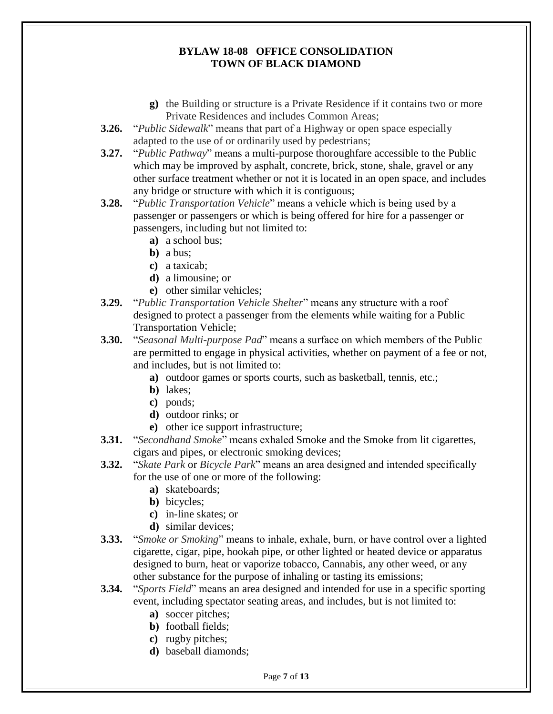- **g)** the Building or structure is a Private Residence if it contains two or more Private Residences and includes Common Areas;
- **3.26.** "*Public Sidewalk*" means that part of a Highway or open space especially adapted to the use of or ordinarily used by pedestrians;
- **3.27.** "*Public Pathway*" means a multi-purpose thoroughfare accessible to the Public which may be improved by asphalt, concrete, brick, stone, shale, gravel or any other surface treatment whether or not it is located in an open space, and includes any bridge or structure with which it is contiguous;
- **3.28.** "*Public Transportation Vehicle*" means a vehicle which is being used by a passenger or passengers or which is being offered for hire for a passenger or passengers, including but not limited to:
	- **a)** a school bus;
	- **b)** a bus;
	- **c)** a taxicab;
	- **d)** a limousine; or
	- **e)** other similar vehicles;
- **3.29.** "*Public Transportation Vehicle Shelter*" means any structure with a roof designed to protect a passenger from the elements while waiting for a Public Transportation Vehicle;
- **3.30.** "*Seasonal Multi-purpose Pad*" means a surface on which members of the Public are permitted to engage in physical activities, whether on payment of a fee or not, and includes, but is not limited to:
	- **a)** outdoor games or sports courts, such as basketball, tennis, etc.;
	- **b)** lakes;
	- **c)** ponds;
	- **d)** outdoor rinks; or
	- **e)** other ice support infrastructure;
- **3.31.** "*Secondhand Smoke*" means exhaled Smoke and the Smoke from lit cigarettes, cigars and pipes, or electronic smoking devices;
- **3.32.** "*Skate Park* or *Bicycle Park*" means an area designed and intended specifically for the use of one or more of the following:
	- **a)** skateboards;
	- **b)** bicycles;
	- **c)** in-line skates; or
	- **d)** similar devices;
- **3.33.** "*Smoke or Smoking*" means to inhale, exhale, burn, or have control over a lighted cigarette, cigar, pipe, hookah pipe, or other lighted or heated device or apparatus designed to burn, heat or vaporize tobacco, Cannabis, any other weed, or any other substance for the purpose of inhaling or tasting its emissions;
- **3.34.** "*Sports Field*" means an area designed and intended for use in a specific sporting event, including spectator seating areas, and includes, but is not limited to:
	- **a)** soccer pitches;
	- **b)** football fields;
	- **c)** rugby pitches;
	- **d)** baseball diamonds;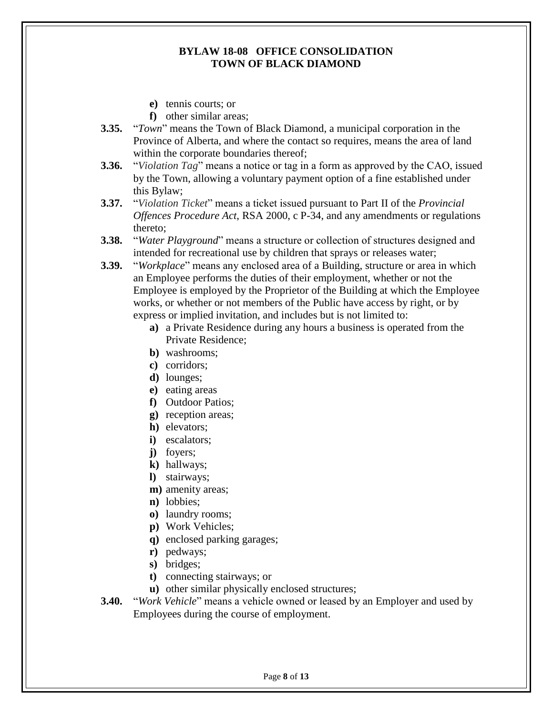- **e)** tennis courts; or
- **f)** other similar areas;
- **3.35.** "*Town*" means the Town of Black Diamond, a municipal corporation in the Province of Alberta, and where the contact so requires, means the area of land within the corporate boundaries thereof;
- **3.36.** "*Violation Tag*" means a notice or tag in a form as approved by the CAO, issued by the Town, allowing a voluntary payment option of a fine established under this Bylaw;
- **3.37.** "*Violation Ticket*" means a ticket issued pursuant to Part II of the *Provincial Offences Procedure Act*, RSA 2000, c P-34, and any amendments or regulations thereto;
- **3.38.** "*Water Playground*" means a structure or collection of structures designed and intended for recreational use by children that sprays or releases water;
- **3.39.** "*Workplace*" means any enclosed area of a Building, structure or area in which an Employee performs the duties of their employment, whether or not the Employee is employed by the Proprietor of the Building at which the Employee works, or whether or not members of the Public have access by right, or by express or implied invitation, and includes but is not limited to:
	- **a)** a Private Residence during any hours a business is operated from the Private Residence;
	- **b)** washrooms;
	- **c)** corridors;
	- **d)** lounges;
	- **e)** eating areas
	- **f)** Outdoor Patios;
	- **g)** reception areas;
	- **h)** elevators;
	- **i)** escalators;
	- **j)** foyers;
	- **k)** hallways;
	- **l)** stairways;
	- **m)** amenity areas;
	- **n)** lobbies;
	- **o)** laundry rooms;
	- **p)** Work Vehicles;
	- **q)** enclosed parking garages;
	- **r)** pedways;
	- **s)** bridges;
	- **t)** connecting stairways; or
	- **u)** other similar physically enclosed structures;
- **3.40.** "*Work Vehicle*" means a vehicle owned or leased by an Employer and used by Employees during the course of employment.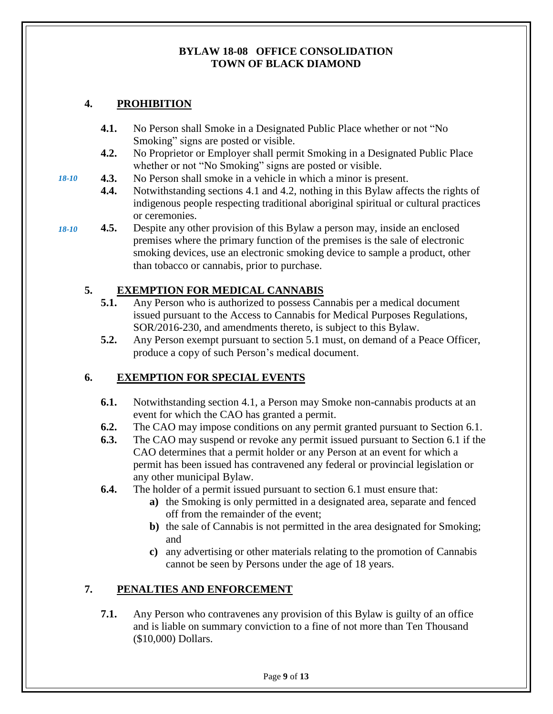# <span id="page-8-0"></span>**4. PROHIBITION**

- **4.1.** No Person shall Smoke in a Designated Public Place whether or not "No Smoking" signs are posted or visible.
- **4.2.** No Proprietor or Employer shall permit Smoking in a Designated Public Place whether or not "No Smoking" signs are posted or visible.
- **4.3.** No Person shall smoke in a vehicle in which a minor is present.
	- **4.4.** Notwithstanding sections 4.1 and 4.2, nothing in this Bylaw affects the rights of indigenous people respecting traditional aboriginal spiritual or cultural practices or ceremonies.
- **4.5.** Despite any other provision of this Bylaw a person may, inside an enclosed premises where the primary function of the premises is the sale of electronic smoking devices, use an electronic smoking device to sample a product, other than tobacco or cannabis, prior to purchase. *18-10*

# <span id="page-8-1"></span>**5. EXEMPTION FOR MEDICAL CANNABIS**

- **5.1.** Any Person who is authorized to possess Cannabis per a medical document issued pursuant to the Access to Cannabis for Medical Purposes Regulations, SOR/2016-230, and amendments thereto, is subject to this Bylaw.
- **5.2.** Any Person exempt pursuant to section 5.1 must, on demand of a Peace Officer, produce a copy of such Person's medical document.

# <span id="page-8-2"></span>**6. EXEMPTION FOR SPECIAL EVENTS**

- **6.1.** Notwithstanding section 4.1, a Person may Smoke non-cannabis products at an event for which the CAO has granted a permit.
- **6.2.** The CAO may impose conditions on any permit granted pursuant to Section 6.1.
- **6.3.** The CAO may suspend or revoke any permit issued pursuant to Section 6.1 if the CAO determines that a permit holder or any Person at an event for which a permit has been issued has contravened any federal or provincial legislation or any other municipal Bylaw.
- **6.4.** The holder of a permit issued pursuant to section 6.1 must ensure that:
	- **a)** the Smoking is only permitted in a designated area, separate and fenced off from the remainder of the event;
	- **b)** the sale of Cannabis is not permitted in the area designated for Smoking; and
	- **c)** any advertising or other materials relating to the promotion of Cannabis cannot be seen by Persons under the age of 18 years.

# <span id="page-8-3"></span>**7. PENALTIES AND ENFORCEMENT**

**7.1.** Any Person who contravenes any provision of this Bylaw is guilty of an office and is liable on summary conviction to a fine of not more than Ten Thousand (\$10,000) Dollars.

*18-10*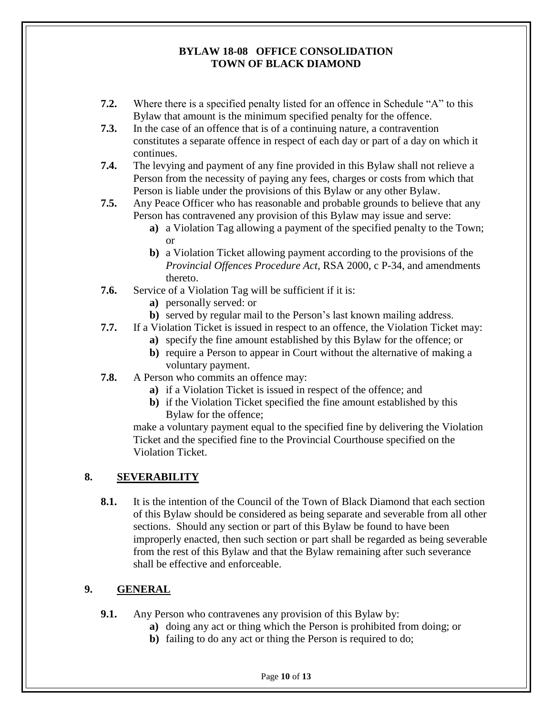- **7.2.** Where there is a specified penalty listed for an offence in Schedule "A" to this Bylaw that amount is the minimum specified penalty for the offence.
- **7.3.** In the case of an offence that is of a continuing nature, a contravention constitutes a separate offence in respect of each day or part of a day on which it continues.
- **7.4.** The levying and payment of any fine provided in this Bylaw shall not relieve a Person from the necessity of paying any fees, charges or costs from which that Person is liable under the provisions of this Bylaw or any other Bylaw.
- **7.5.** Any Peace Officer who has reasonable and probable grounds to believe that any Person has contravened any provision of this Bylaw may issue and serve:
	- **a)** a Violation Tag allowing a payment of the specified penalty to the Town; or
	- **b)** a Violation Ticket allowing payment according to the provisions of the *Provincial Offences Procedure Act*, RSA 2000, c P-34, and amendments thereto.
- **7.6.** Service of a Violation Tag will be sufficient if it is:
	- **a)** personally served: or
	- **b)** served by regular mail to the Person's last known mailing address.
- **7.7.** If a Violation Ticket is issued in respect to an offence, the Violation Ticket may:
	- **a)** specify the fine amount established by this Bylaw for the offence; or
	- **b)** require a Person to appear in Court without the alternative of making a voluntary payment.
- **7.8.** A Person who commits an offence may:
	- **a)** if a Violation Ticket is issued in respect of the offence; and
	- **b)** if the Violation Ticket specified the fine amount established by this Bylaw for the offence;

make a voluntary payment equal to the specified fine by delivering the Violation Ticket and the specified fine to the Provincial Courthouse specified on the Violation Ticket.

# <span id="page-9-0"></span>**8. SEVERABILITY**

**8.1.** It is the intention of the Council of the Town of Black Diamond that each section of this Bylaw should be considered as being separate and severable from all other sections. Should any section or part of this Bylaw be found to have been improperly enacted, then such section or part shall be regarded as being severable from the rest of this Bylaw and that the Bylaw remaining after such severance shall be effective and enforceable.

# <span id="page-9-1"></span>**9. GENERAL**

- **9.1.** Any Person who contravenes any provision of this Bylaw by:
	- **a)** doing any act or thing which the Person is prohibited from doing; or
	- **b)** failing to do any act or thing the Person is required to do;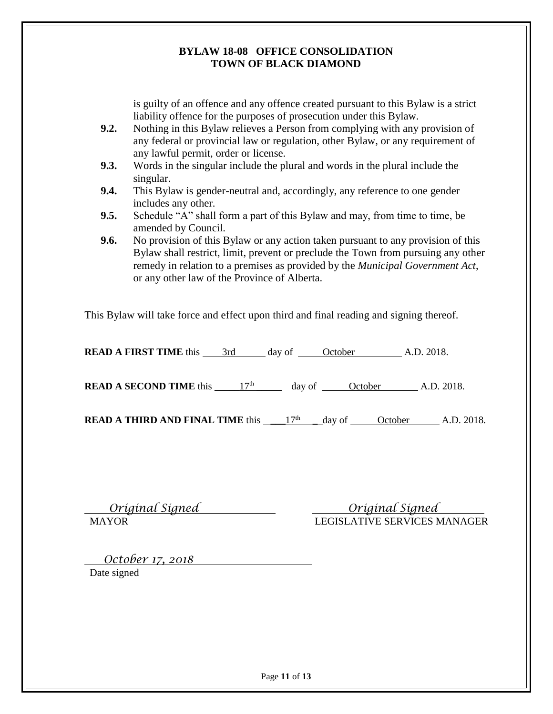is guilty of an offence and any offence created pursuant to this Bylaw is a strict liability offence for the purposes of prosecution under this Bylaw.

- **9.2.** Nothing in this Bylaw relieves a Person from complying with any provision of any federal or provincial law or regulation, other Bylaw, or any requirement of any lawful permit, order or license.
- **9.3.** Words in the singular include the plural and words in the plural include the singular.
- **9.4.** This Bylaw is gender-neutral and, accordingly, any reference to one gender includes any other.
- **9.5.** Schedule "A" shall form a part of this Bylaw and may, from time to time, be amended by Council.
- **9.6.** No provision of this Bylaw or any action taken pursuant to any provision of this Bylaw shall restrict, limit, prevent or preclude the Town from pursuing any other remedy in relation to a premises as provided by the *Municipal Government Act*, or any other law of the Province of Alberta.

This Bylaw will take force and effect upon third and final reading and signing thereof.

| <b>READ A FIRST TIME this</b> | śrd | dav of | Dctober | A.D. 2018. |
|-------------------------------|-----|--------|---------|------------|
|-------------------------------|-----|--------|---------|------------|

**READ A SECOND TIME** this  $\frac{17^{\text{th}}}{\text{atm}}$  day of  $\frac{\text{October}}{\text{October}}$  A.D. 2018.

**READ A THIRD AND FINAL TIME** this  $\frac{17^{th}}{4}$  day of October A.D. 2018.

 *Original Signed Original Signed*  MAYOR LEGISLATIVE SERVICES MANAGER

*October 17, 2018*

Date signed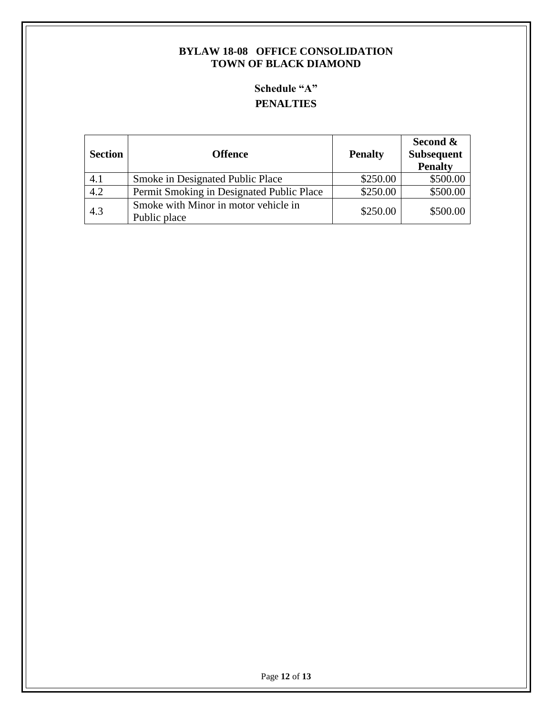# **Schedule "A" PENALTIES**

| <b>Section</b> | <b>Offence</b>                                       | <b>Penalty</b> | Second &<br><b>Subsequent</b><br><b>Penalty</b> |
|----------------|------------------------------------------------------|----------------|-------------------------------------------------|
| 4.1            | Smoke in Designated Public Place                     | \$250.00       | \$500.00                                        |
| 4.2            | Permit Smoking in Designated Public Place            | \$250.00       | \$500.00                                        |
| 4.3            | Smoke with Minor in motor vehicle in<br>Public place | \$250.00       | \$500.00                                        |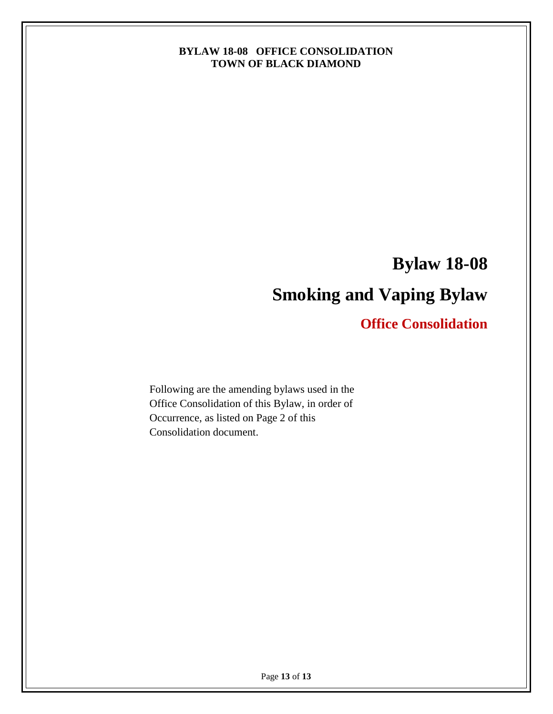# **Bylaw 18-08**

# **Smoking and Vaping Bylaw**

# **Office Consolidation**

Following are the amending bylaws used in the Office Consolidation of this Bylaw, in order of Occurrence, as listed on Page 2 of this Consolidation document.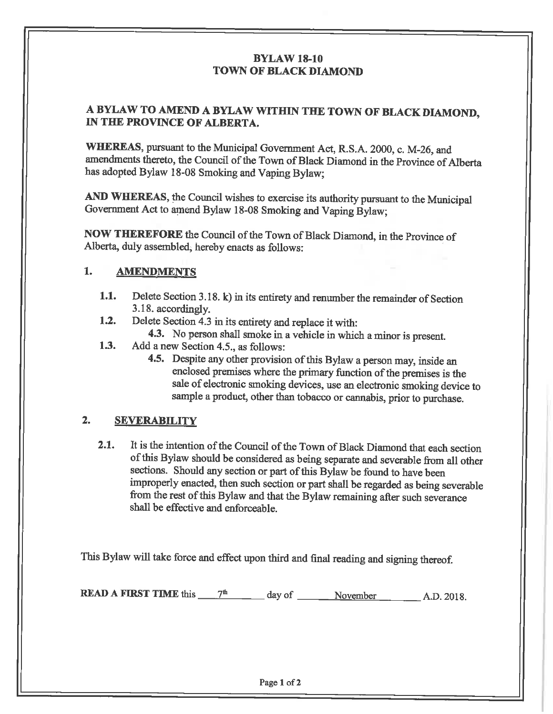# **BYLAW 18-10 TOWN OF BLACK DIAMOND**

# A BYLAW TO AMEND A BYLAW WITHIN THE TOWN OF BLACK DIAMOND, IN THE PROVINCE OF ALBERTA.

WHEREAS, pursuant to the Municipal Government Act, R.S.A. 2000, c. M-26, and amendments thereto, the Council of the Town of Black Diamond in the Province of Alberta has adopted Bylaw 18-08 Smoking and Vaping Bylaw;

AND WHEREAS, the Council wishes to exercise its authority pursuant to the Municipal Government Act to amend Bylaw 18-08 Smoking and Vaping Bylaw;

NOW THEREFORE the Council of the Town of Black Diamond, in the Province of Alberta, duly assembled, hereby enacts as follows:

#### 1. **AMENDMENTS**

- $1.1.$ Delete Section 3.18. k) in its entirety and renumber the remainder of Section 3.18. accordingly.
- $1.2.$ Delete Section 4.3 in its entirety and replace it with:
	- 4.3. No person shall smoke in a vehicle in which a minor is present.
- $1.3.$ Add a new Section 4.5., as follows:
	- 4.5. Despite any other provision of this Bylaw a person may, inside an enclosed premises where the primary function of the premises is the sale of electronic smoking devices, use an electronic smoking device to sample a product, other than tobacco or cannabis, prior to purchase.

#### $2.$ **SEVERABILITY**

 $2.1.$ It is the intention of the Council of the Town of Black Diamond that each section of this Bylaw should be considered as being separate and severable from all other sections. Should any section or part of this Bylaw be found to have been improperly enacted, then such section or part shall be regarded as being severable from the rest of this Bylaw and that the Bylaw remaining after such severance shall be effective and enforceable.

This Bylaw will take force and effect upon third and final reading and signing thereof.

**READ A FIRST TIME** this  $\frac{7^{th}}{2^{th}}$  day of <u>November A.D.</u> 2018.